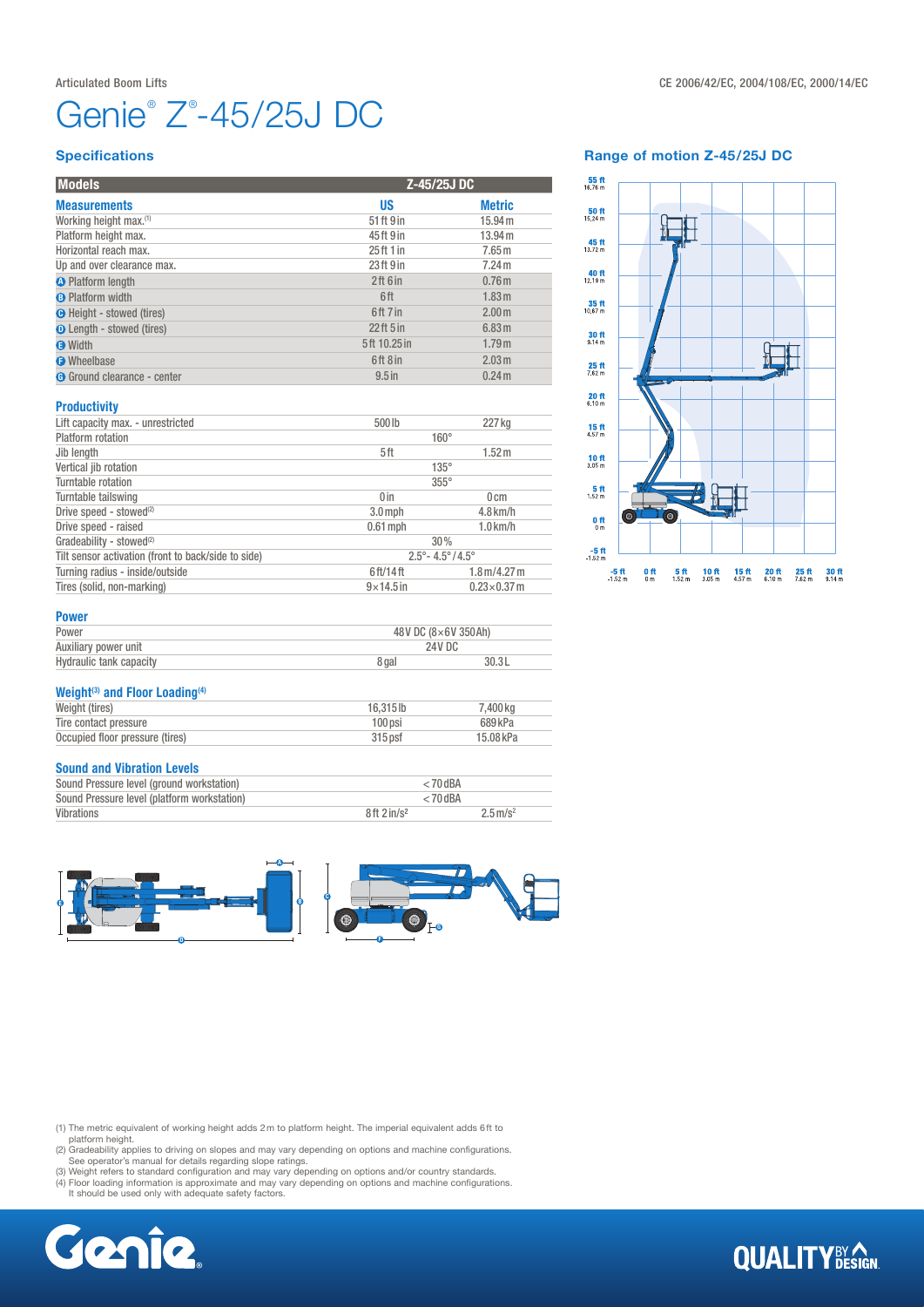# Genie® Z® -45/25J DC

#### Range of motion Z-45/25J DC



#### **Specifications**

| <b>Models</b>                      |              | Z-45/25J DC       |  |
|------------------------------------|--------------|-------------------|--|
| <b>Measurements</b>                | US           | <b>Metric</b>     |  |
| Working height max. <sup>(1)</sup> | 51 ft 9 in   | 15.94 m           |  |
| Platform height max.               | 45ft 9 in    | 13.94 m           |  |
| Horizontal reach max.              | 25 ft 1 in   | 7.65 <sub>m</sub> |  |
| Up and over clearance max.         | 23ft 9 in    | 7.24 m            |  |
| <b>O</b> Platform length           | 2ft 6in      | 0.76 <sub>m</sub> |  |
| <b>B</b> Platform width            | 6ft          | 1.83 m            |  |
| <b>O</b> Height - stowed (tires)   | 6ft 7 in     | 2.00 <sub>m</sub> |  |
| <b>D</b> Length - stowed (tires)   | $22$ ft 5 in | 6.83 m            |  |
| <b>O</b> Width                     | 5ft 10.25 in | 1.79m             |  |
| <b>O</b> Wheelbase                 | 6ft 8 in     | 2.03 m            |  |
| <b>G</b> Ground clearance - center | $9.5$ in     | 0.24 <sub>m</sub> |  |

#### **Productivity**

| Lift capacity max. - unrestricted                   | 500lb                                   | 227 kg                               |  |  |
|-----------------------------------------------------|-----------------------------------------|--------------------------------------|--|--|
| Platform rotation                                   | $160^\circ$                             |                                      |  |  |
| Jib length                                          | 5ft                                     | 1.52 <sub>m</sub>                    |  |  |
| Vertical jib rotation                               | $135^\circ$                             |                                      |  |  |
| Turntable rotation                                  | $355^\circ$                             |                                      |  |  |
| Turntable tailswing                                 | 0 <sub>in</sub>                         | 0 <sub>cm</sub>                      |  |  |
| Drive speed - stowed <sup>(2)</sup>                 | $3.0$ mph                               | $4.8$ km/h                           |  |  |
| Drive speed - raised                                | $0.61$ mph                              | $1.0$ km/h                           |  |  |
| Gradeability - stowed <sup>(2)</sup>                | 30%                                     |                                      |  |  |
| Tilt sensor activation (front to back/side to side) | $2.5^{\circ} - 4.5^{\circ}/4.5^{\circ}$ |                                      |  |  |
| Turning radius - inside/outside                     | 6 ft/14 ft                              | $1.8 \,\mathrm{m}/4.27 \,\mathrm{m}$ |  |  |
| Tires (solid, non-marking)                          | $9\times$ 14.5 in                       | $0.23\times0.37$ m                   |  |  |

#### Power

| Power                          | 48V DC (8×6V 350Ah) |       |  |
|--------------------------------|---------------------|-------|--|
| Auxiliary power unit           | 24V DC              |       |  |
| <b>Hydraulic tank capacity</b> | 8 gal               | 30.3L |  |

#### Weight<sup>(3)</sup> and Floor Loading<sup>(4)</sup>

| Weight (tires)                  | $16.315$ lb | 7.400 ka  |
|---------------------------------|-------------|-----------|
| Tire contact pressure           | 100 psi     | 689 kPa   |
| Occupied floor pressure (tires) | $315$ psf   | 15.08 kPa |

#### Sound and Vibration Levels

| Sound Pressure level (ground workstation)   | $< 70$ dBA             |                        |  |
|---------------------------------------------|------------------------|------------------------|--|
| Sound Pressure level (platform workstation) | $< 70$ dBA             |                        |  |
| Vibrations                                  | 8ft 2in/s <sup>2</sup> | $2.5 \,\mathrm{m/s^2}$ |  |



(1) The metric equivalent of working height adds 2m to platform height. The imperial equivalent adds 6ft to

platform height.<br>
(2) Gradeability applies to driving on slopes and may vary depending on options and machine configurations.<br>
(3) Weight refers to standard configuration and may vary depending on options and/or country st



### **QUALITY**BY AGN